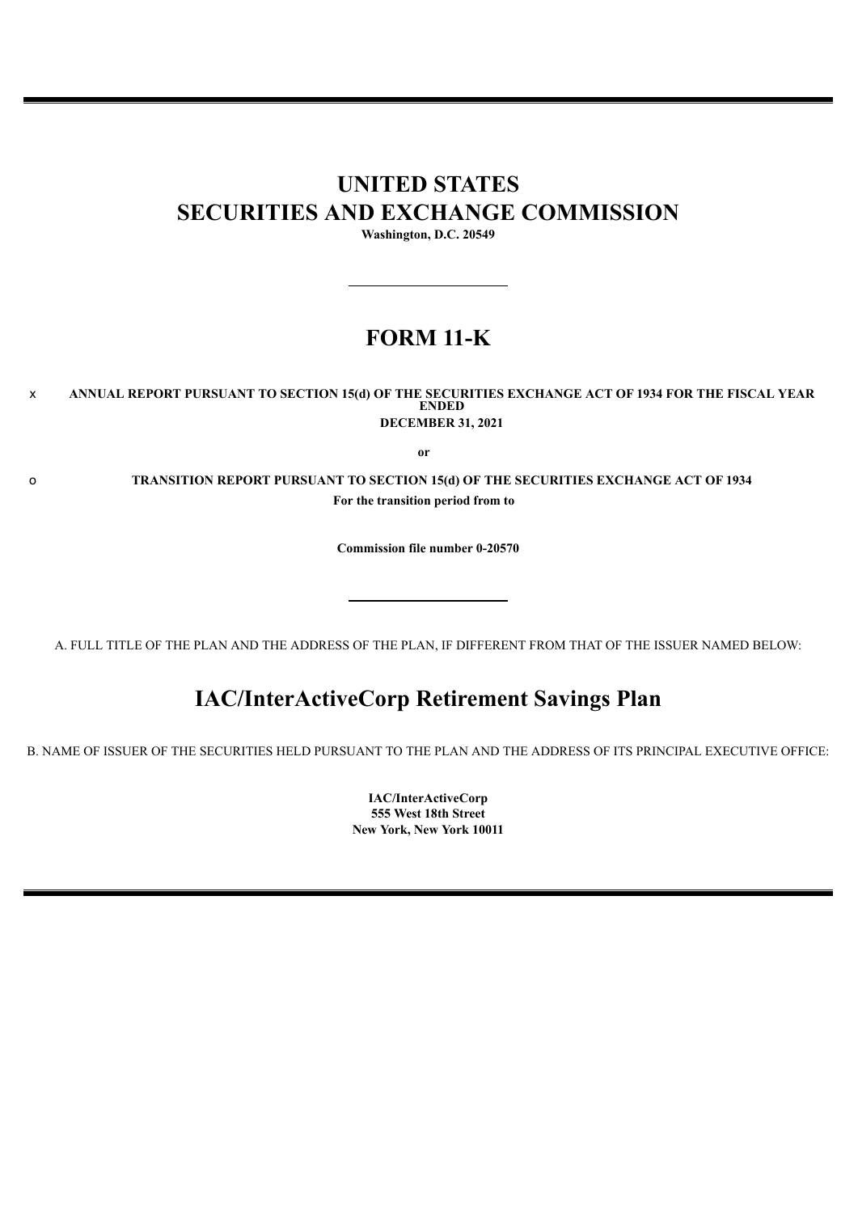# **UNITED STATES SECURITIES AND EXCHANGE COMMISSION**

**Washington, D.C. 20549**

# **FORM 11-K**

## x **ANNUAL REPORT PURSUANT TO SECTION 15(d) OF THE SECURITIES EXCHANGE ACT OF 1934 FOR THE FISCAL YEAR ENDED DECEMBER 31, 2021**

**or**

o **TRANSITION REPORT PURSUANT TO SECTION 15(d) OF THE SECURITIES EXCHANGE ACT OF 1934 For the transition period from to**

**Commission file number 0-20570**

A. FULL TITLE OF THE PLAN AND THE ADDRESS OF THE PLAN, IF DIFFERENT FROM THAT OF THE ISSUER NAMED BELOW:

# **IAC/InterActiveCorp Retirement Savings Plan**

<span id="page-0-0"></span>B. NAME OF ISSUER OF THE SECURITIES HELD PURSUANT TO THE PLAN AND THE ADDRESS OF ITS PRINCIPAL EXECUTIVE OFFICE:

**IAC/InterActiveCorp 555 West 18th Street New York, New York 10011**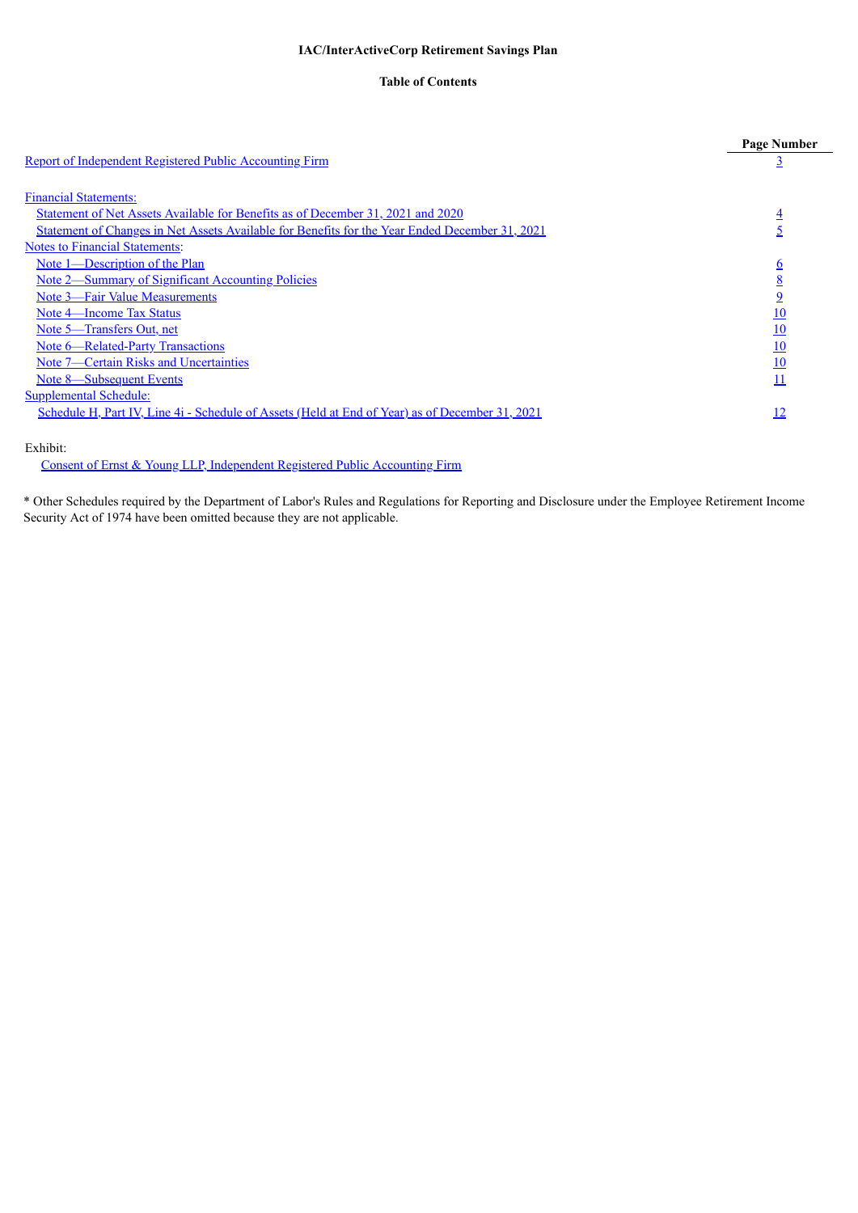# **Table of Contents**

|                                                                                                       | <b>Page Number</b> |
|-------------------------------------------------------------------------------------------------------|--------------------|
| <b>Report of Independent Registered Public Accounting Firm</b>                                        |                    |
| <b>Financial Statements:</b>                                                                          |                    |
| Statement of Net Assets Available for Benefits as of December 31, 2021 and 2020                       | $\overline{4}$     |
| <u>Statement of Changes in Net Assets Available for Benefits for the Year Ended December 31, 2021</u> | $\overline{5}$     |
| <b>Notes to Financial Statements:</b>                                                                 |                    |
| Note 1—Description of the Plan                                                                        | $6\overline{6}$    |
| Note 2—Summary of Significant Accounting Policies                                                     | $\underline{8}$    |
| Note 3—Fair Value Measurements                                                                        | $\overline{9}$     |
| Note 4—Income Tax Status                                                                              | 10                 |
| Note 5—Transfers Out, net                                                                             | 10                 |
| Note 6—Related-Party Transactions                                                                     | 10                 |
| Note 7—Certain Risks and Uncertainties                                                                | 10                 |
| Note 8—Subsequent Events                                                                              | 11                 |
| <b>Supplemental Schedule:</b>                                                                         |                    |
| Schedule H, Part IV, Line 4i - Schedule of Assets (Held at End of Year) as of December 31, 2021       | 12                 |
| Exhibit:                                                                                              |                    |

Consent of Ernst & Young LLP, [Independent](#page-13-0) Registered Public Accounting Firm

<span id="page-1-0"></span>\* Other Schedules required by the Department of Labor's Rules and Regulations for Reporting and Disclosure under the Employee Retirement Income Security Act of 1974 have been omitted because they are not applicable.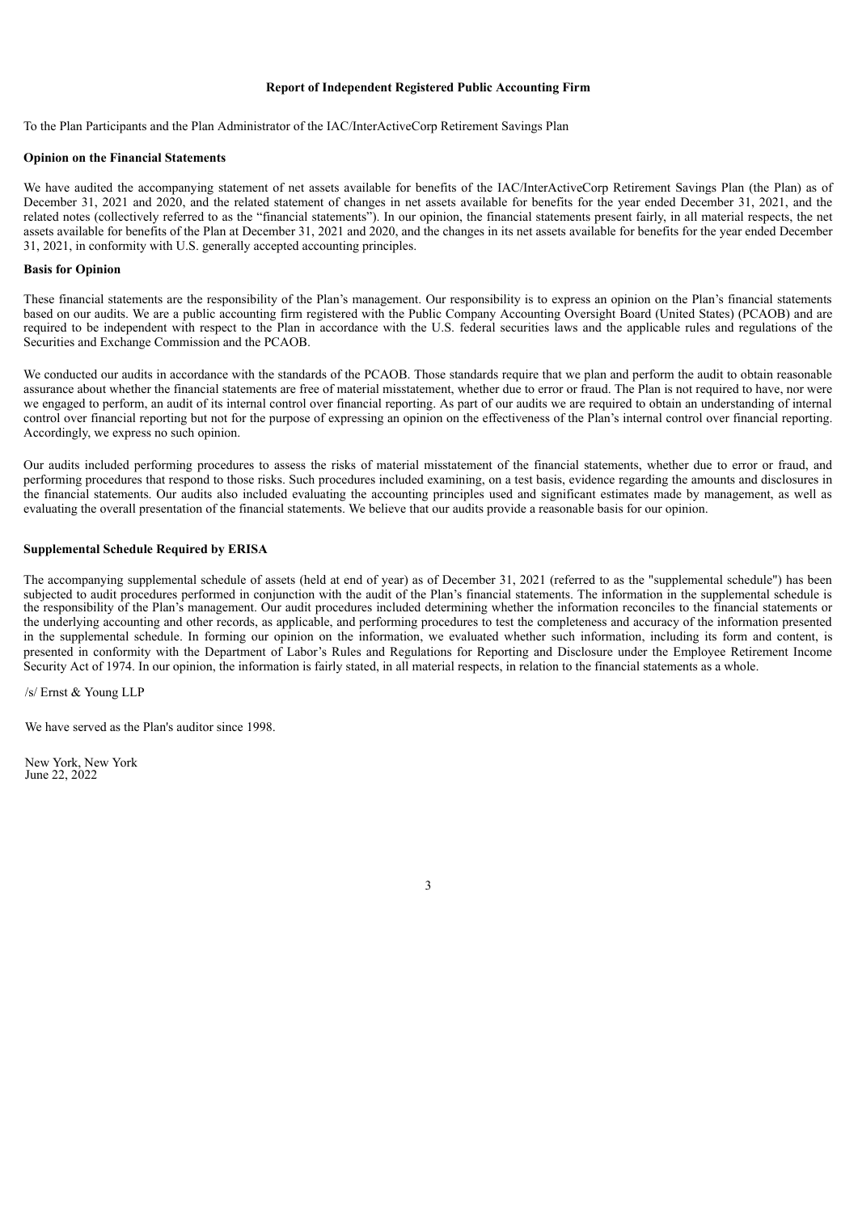#### **Report of Independent Registered Public Accounting Firm**

To the Plan Participants and the Plan Administrator of the IAC/InterActiveCorp Retirement Savings Plan

### **Opinion on the Financial Statements**

We have audited the accompanying statement of net assets available for benefits of the IAC/InterActiveCorp Retirement Savings Plan (the Plan) as of December 31, 2021 and 2020, and the related statement of changes in net assets available for benefits for the year ended December 31, 2021, and the related notes (collectively referred to as the "financial statements"). In our opinion, the financial statements present fairly, in all material respects, the net assets available for benefits of the Plan at December 31, 2021 and 2020, and the changes in its net assets available for benefits for the year ended December 31, 2021, in conformity with U.S. generally accepted accounting principles.

#### **Basis for Opinion**

These financial statements are the responsibility of the Plan's management. Our responsibility is to express an opinion on the Plan's financial statements based on our audits. We are a public accounting firm registered with the Public Company Accounting Oversight Board (United States) (PCAOB) and are required to be independent with respect to the Plan in accordance with the U.S. federal securities laws and the applicable rules and regulations of the Securities and Exchange Commission and the PCAOB.

We conducted our audits in accordance with the standards of the PCAOB. Those standards require that we plan and perform the audit to obtain reasonable assurance about whether the financial statements are free of material misstatement, whether due to error or fraud. The Plan is not required to have, nor were we engaged to perform, an audit of its internal control over financial reporting. As part of our audits we are required to obtain an understanding of internal control over financial reporting but not for the purpose of expressing an opinion on the effectiveness of the Plan's internal control over financial reporting. Accordingly, we express no such opinion.

Our audits included performing procedures to assess the risks of material misstatement of the financial statements, whether due to error or fraud, and performing procedures that respond to those risks. Such procedures included examining, on a test basis, evidence regarding the amounts and disclosures in the financial statements. Our audits also included evaluating the accounting principles used and significant estimates made by management, as well as evaluating the overall presentation of the financial statements. We believe that our audits provide a reasonable basis for our opinion.

## **Supplemental Schedule Required by ERISA**

The accompanying supplemental schedule of assets (held at end of year) as of December 31, 2021 (referred to as the "supplemental schedule") has been subjected to audit procedures performed in conjunction with the audit of the Plan's financial statements. The information in the supplemental schedule is the responsibility of the Plan's management. Our audit procedures included determining whether the information reconciles to the financial statements or the underlying accounting and other records, as applicable, and performing procedures to test the completeness and accuracy of the information presented in the supplemental schedule. In forming our opinion on the information, we evaluated whether such information, including its form and content, is presented in conformity with the Department of Labor's Rules and Regulations for Reporting and Disclosure under the Employee Retirement Income Security Act of 1974. In our opinion, the information is fairly stated, in all material respects, in relation to the financial statements as a whole.

/s/ Ernst & Young LLP

We have served as the Plan's auditor since 1998.

<span id="page-2-1"></span><span id="page-2-0"></span>New York, New York June 22, 2022

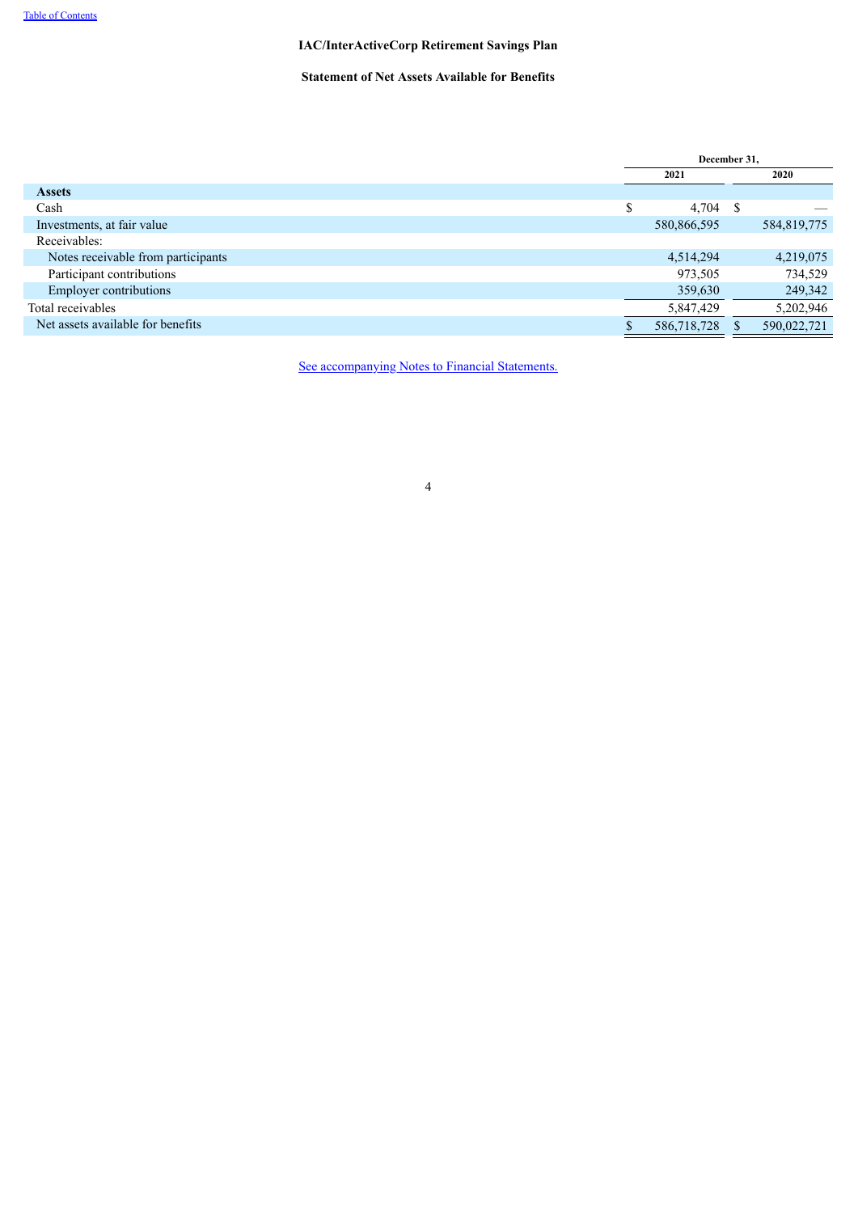# **Statement of Net Assets Available for Benefits**

|                                    | December 31, |             |      |             |
|------------------------------------|--------------|-------------|------|-------------|
|                                    |              | 2021        |      | 2020        |
| <b>Assets</b>                      |              |             |      |             |
| Cash                               | \$           | 4,704       | - \$ |             |
| Investments, at fair value         |              | 580,866,595 |      | 584,819,775 |
| Receivables:                       |              |             |      |             |
| Notes receivable from participants |              | 4,514,294   |      | 4,219,075   |
| Participant contributions          |              | 973,505     |      | 734,529     |
| <b>Employer contributions</b>      |              | 359,630     |      | 249,342     |
| Total receivables                  |              | 5,847,429   |      | 5,202,946   |
| Net assets available for benefits  |              | 586,718,728 |      | 590,022,721 |

<span id="page-3-0"></span>See [accompanying](#page-4-0) Notes to Financial Statements.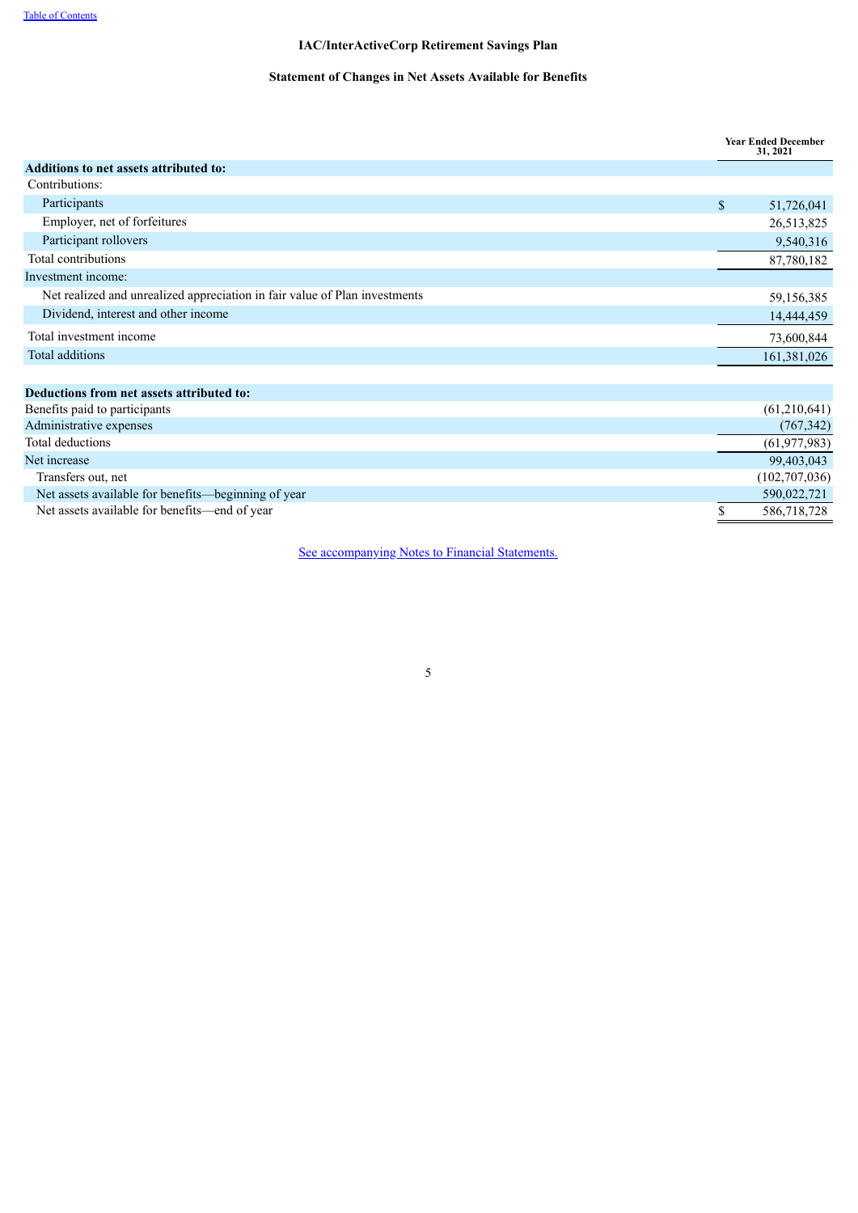# **Statement of Changes in Net Assets Available for Benefits**

|                                                                            | <b>Year Ended December</b><br>31, 2021 |
|----------------------------------------------------------------------------|----------------------------------------|
| Additions to net assets attributed to:                                     |                                        |
| Contributions:                                                             |                                        |
| Participants                                                               | \$<br>51,726,041                       |
| Employer, net of forfeitures                                               | 26,513,825                             |
| Participant rollovers                                                      | 9,540,316                              |
| Total contributions                                                        | 87,780,182                             |
| Investment income:                                                         |                                        |
| Net realized and unrealized appreciation in fair value of Plan investments | 59,156,385                             |
| Dividend, interest and other income                                        | 14,444,459                             |
| Total investment income                                                    | 73,600,844                             |
| Total additions                                                            | 161,381,026                            |
|                                                                            |                                        |
| Deductions from net assets attributed to:                                  |                                        |
| Benefits paid to participants                                              | (61, 210, 641)                         |
| Administrative expenses                                                    | (767, 342)                             |
| Total deductions                                                           | (61, 977, 983)                         |
| Net increase                                                               | 99,403,043                             |
| Transfers out, net                                                         | (102, 707, 036)                        |
| Net assets available for benefits—beginning of year                        | 590,022,721                            |
| Net assets available for benefits—end of year                              | \$<br>586,718,728                      |

<span id="page-4-0"></span>See [accompanying](#page-4-0) Notes to Financial Statements.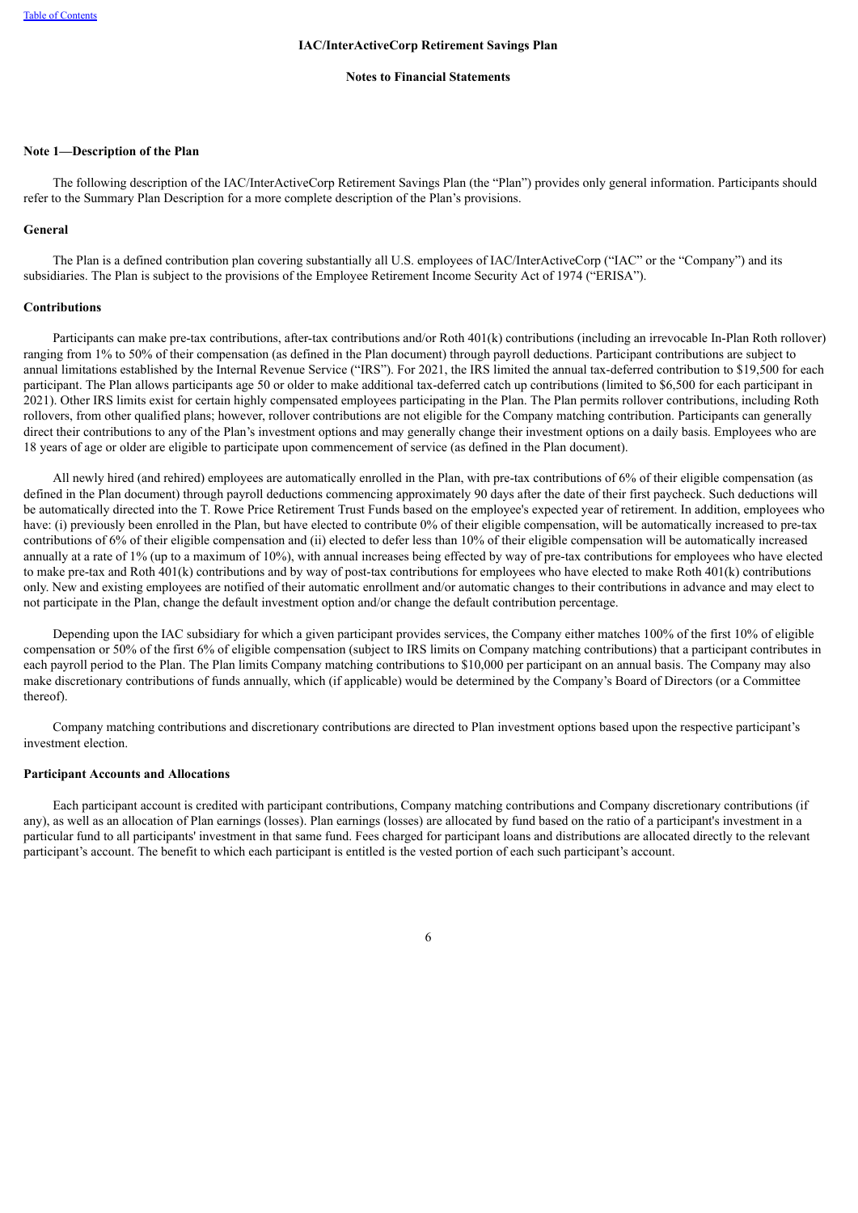#### **Notes to Financial Statements**

## <span id="page-5-0"></span>**Note 1—Description of the Plan**

The following description of the IAC/InterActiveCorp Retirement Savings Plan (the "Plan") provides only general information. Participants should refer to the Summary Plan Description for a more complete description of the Plan's provisions.

#### **General**

The Plan is a defined contribution plan covering substantially all U.S. employees of IAC/InterActiveCorp ("IAC" or the "Company") and its subsidiaries. The Plan is subject to the provisions of the Employee Retirement Income Security Act of 1974 ("ERISA").

# **Contributions**

Participants can make pre-tax contributions, after-tax contributions and/or Roth 401(k) contributions (including an irrevocable In-Plan Roth rollover) ranging from 1% to 50% of their compensation (as defined in the Plan document) through payroll deductions. Participant contributions are subject to annual limitations established by the Internal Revenue Service ("IRS"). For 2021, the IRS limited the annual tax-deferred contribution to \$19,500 for each participant. The Plan allows participants age 50 or older to make additional tax-deferred catch up contributions (limited to \$6,500 for each participant in 2021). Other IRS limits exist for certain highly compensated employees participating in the Plan. The Plan permits rollover contributions, including Roth rollovers, from other qualified plans; however, rollover contributions are not eligible for the Company matching contribution. Participants can generally direct their contributions to any of the Plan's investment options and may generally change their investment options on a daily basis. Employees who are 18 years of age or older are eligible to participate upon commencement of service (as defined in the Plan document).

All newly hired (and rehired) employees are automatically enrolled in the Plan, with pre-tax contributions of 6% of their eligible compensation (as defined in the Plan document) through payroll deductions commencing approximately 90 days after the date of their first paycheck. Such deductions will be automatically directed into the T. Rowe Price Retirement Trust Funds based on the employee's expected year of retirement. In addition, employees who have: (i) previously been enrolled in the Plan, but have elected to contribute 0% of their eligible compensation, will be automatically increased to pre-tax contributions of 6% of their eligible compensation and (ii) elected to defer less than 10% of their eligible compensation will be automatically increased annually at a rate of 1% (up to a maximum of 10%), with annual increases being effected by way of pre-tax contributions for employees who have elected to make pre-tax and Roth 401(k) contributions and by way of post-tax contributions for employees who have elected to make Roth 401(k) contributions only. New and existing employees are notified of their automatic enrollment and/or automatic changes to their contributions in advance and may elect to not participate in the Plan, change the default investment option and/or change the default contribution percentage.

Depending upon the IAC subsidiary for which a given participant provides services, the Company either matches 100% of the first 10% of eligible compensation or 50% of the first 6% of eligible compensation (subject to IRS limits on Company matching contributions) that a participant contributes in each payroll period to the Plan. The Plan limits Company matching contributions to \$10,000 per participant on an annual basis. The Company may also make discretionary contributions of funds annually, which (if applicable) would be determined by the Company's Board of Directors (or a Committee thereof).

Company matching contributions and discretionary contributions are directed to Plan investment options based upon the respective participant's investment election.

#### **Participant Accounts and Allocations**

Each participant account is credited with participant contributions, Company matching contributions and Company discretionary contributions (if any), as well as an allocation of Plan earnings (losses). Plan earnings (losses) are allocated by fund based on the ratio of a participant's investment in a particular fund to all participants' investment in that same fund. Fees charged for participant loans and distributions are allocated directly to the relevant participant's account. The benefit to which each participant is entitled is the vested portion of each such participant's account.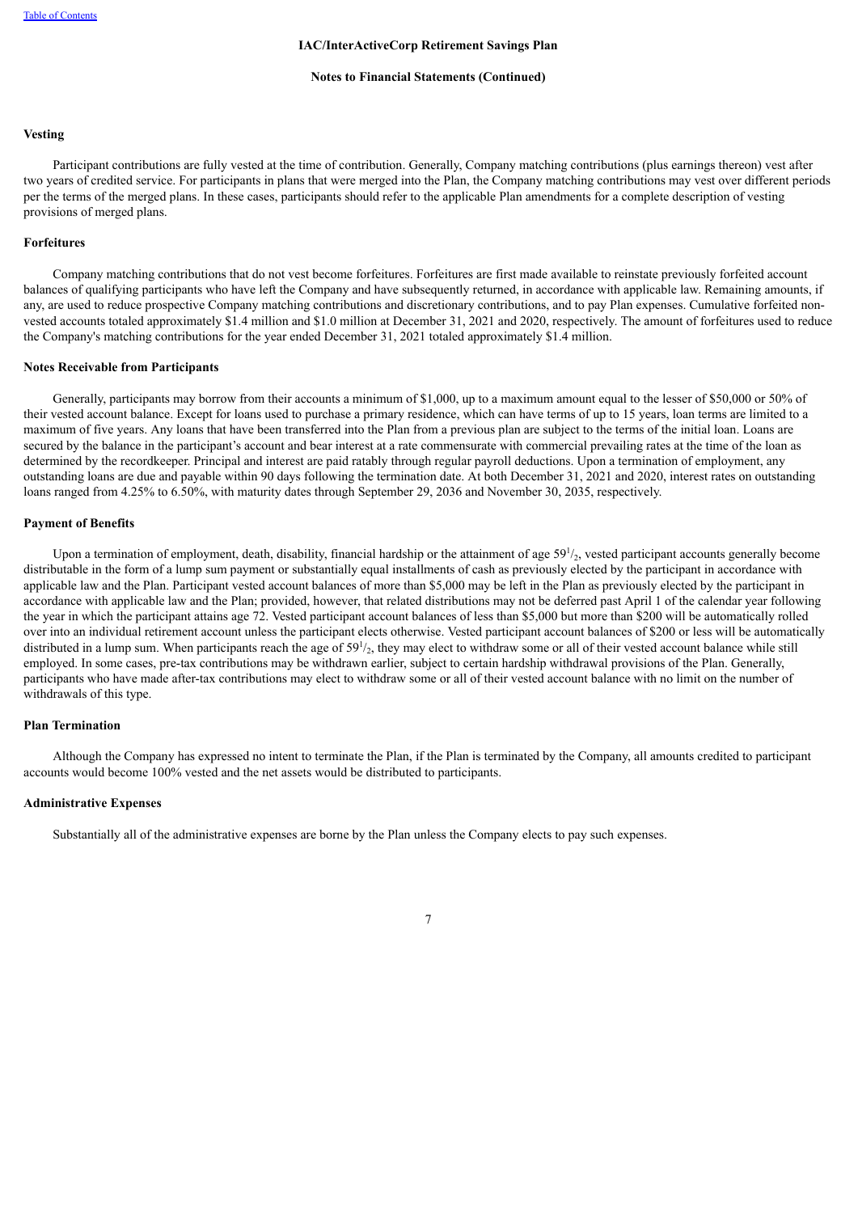#### **Notes to Financial Statements (Continued)**

# **Vesting**

Participant contributions are fully vested at the time of contribution. Generally, Company matching contributions (plus earnings thereon) vest after two years of credited service. For participants in plans that were merged into the Plan, the Company matching contributions may vest over different periods per the terms of the merged plans. In these cases, participants should refer to the applicable Plan amendments for a complete description of vesting provisions of merged plans.

# **Forfeitures**

Company matching contributions that do not vest become forfeitures. Forfeitures are first made available to reinstate previously forfeited account balances of qualifying participants who have left the Company and have subsequently returned, in accordance with applicable law. Remaining amounts, if any, are used to reduce prospective Company matching contributions and discretionary contributions, and to pay Plan expenses. Cumulative forfeited nonvested accounts totaled approximately \$1.4 million and \$1.0 million at December 31, 2021 and 2020, respectively. The amount of forfeitures used to reduce the Company's matching contributions for the year ended December 31, 2021 totaled approximately \$1.4 million.

#### **Notes Receivable from Participants**

Generally, participants may borrow from their accounts a minimum of \$1,000, up to a maximum amount equal to the lesser of \$50,000 or 50% of their vested account balance. Except for loans used to purchase a primary residence, which can have terms of up to 15 years, loan terms are limited to a maximum of five years. Any loans that have been transferred into the Plan from a previous plan are subject to the terms of the initial loan. Loans are secured by the balance in the participant's account and bear interest at a rate commensurate with commercial prevailing rates at the time of the loan as determined by the recordkeeper. Principal and interest are paid ratably through regular payroll deductions. Upon a termination of employment, any outstanding loans are due and payable within 90 days following the termination date. At both December 31, 2021 and 2020, interest rates on outstanding loans ranged from 4.25% to 6.50%, with maturity dates through September 29, 2036 and November 30, 2035, respectively.

#### **Payment of Benefits**

Upon a termination of employment, death, disability, financial hardship or the attainment of age  $59<sup>1</sup>/<sub>2</sub>$ , vested participant accounts generally become distributable in the form of a lump sum payment or substantially equal installments of cash as previously elected by the participant in accordance with applicable law and the Plan. Participant vested account balances of more than \$5,000 may be left in the Plan as previously elected by the participant in accordance with applicable law and the Plan; provided, however, that related distributions may not be deferred past April 1 of the calendar year following the year in which the participant attains age 72. Vested participant account balances of less than \$5,000 but more than \$200 will be automatically rolled over into an individual retirement account unless the participant elects otherwise. Vested participant account balances of \$200 or less will be automatically distributed in a lump sum. When participants reach the age of  $59<sup>1</sup>/<sub>2</sub>$ , they may elect to withdraw some or all of their vested account balance while still employed. In some cases, pre-tax contributions may be withdrawn earlier, subject to certain hardship withdrawal provisions of the Plan. Generally, participants who have made after-tax contributions may elect to withdraw some or all of their vested account balance with no limit on the number of withdrawals of this type.

#### **Plan Termination**

Although the Company has expressed no intent to terminate the Plan, if the Plan is terminated by the Company, all amounts credited to participant accounts would become 100% vested and the net assets would be distributed to participants.

#### **Administrative Expenses**

Substantially all of the administrative expenses are borne by the Plan unless the Company elects to pay such expenses.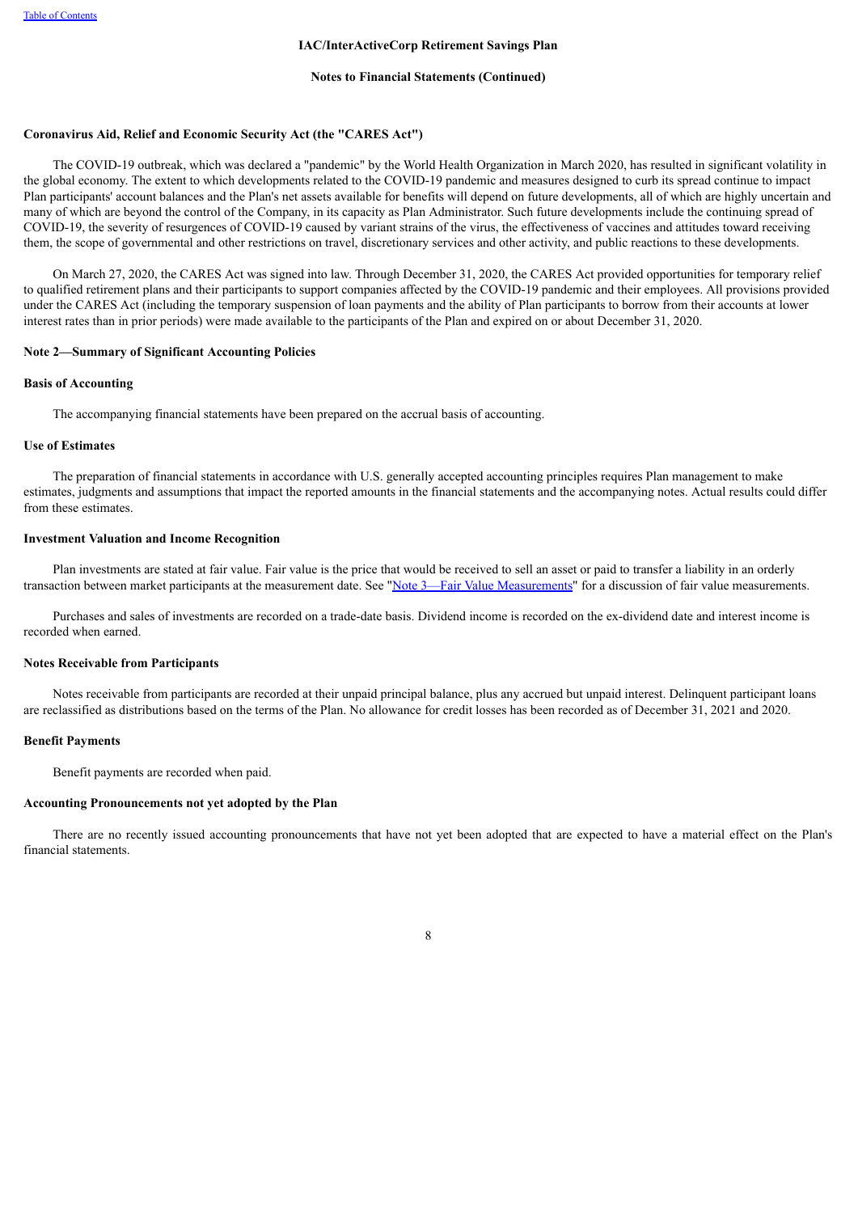#### **Notes to Financial Statements (Continued)**

### **Coronavirus Aid, Relief and Economic Security Act (the "CARES Act")**

The COVID-19 outbreak, which was declared a "pandemic" by the World Health Organization in March 2020, has resulted in significant volatility in the global economy. The extent to which developments related to the COVID-19 pandemic and measures designed to curb its spread continue to impact Plan participants' account balances and the Plan's net assets available for benefits will depend on future developments, all of which are highly uncertain and many of which are beyond the control of the Company, in its capacity as Plan Administrator. Such future developments include the continuing spread of COVID-19, the severity of resurgences of COVID-19 caused by variant strains of the virus, the effectiveness of vaccines and attitudes toward receiving them, the scope of governmental and other restrictions on travel, discretionary services and other activity, and public reactions to these developments.

On March 27, 2020, the CARES Act was signed into law. Through December 31, 2020, the CARES Act provided opportunities for temporary relief to qualified retirement plans and their participants to support companies affected by the COVID-19 pandemic and their employees. All provisions provided under the CARES Act (including the temporary suspension of loan payments and the ability of Plan participants to borrow from their accounts at lower interest rates than in prior periods) were made available to the participants of the Plan and expired on or about December 31, 2020.

#### <span id="page-7-0"></span>**Note 2—Summary of Significant Accounting Policies**

#### **Basis of Accounting**

The accompanying financial statements have been prepared on the accrual basis of accounting.

#### **Use of Estimates**

The preparation of financial statements in accordance with U.S. generally accepted accounting principles requires Plan management to make estimates, judgments and assumptions that impact the reported amounts in the financial statements and the accompanying notes. Actual results could differ from these estimates.

#### **Investment Valuation and Income Recognition**

Plan investments are stated at fair value. Fair value is the price that would be received to sell an asset or paid to transfer a liability in an orderly transaction between market participants at the measurement date. See "Note 3—Fair Value [Measurements"](#page-7-1) for a discussion of fair value measurements.

Purchases and sales of investments are recorded on a trade-date basis. Dividend income is recorded on the ex-dividend date and interest income is recorded when earned.

#### **Notes Receivable from Participants**

Notes receivable from participants are recorded at their unpaid principal balance, plus any accrued but unpaid interest. Delinquent participant loans are reclassified as distributions based on the terms of the Plan. No allowance for credit losses has been recorded as of December 31, 2021 and 2020.

#### **Benefit Payments**

Benefit payments are recorded when paid.

# **Accounting Pronouncements not yet adopted by the Plan**

<span id="page-7-1"></span>There are no recently issued accounting pronouncements that have not yet been adopted that are expected to have a material effect on the Plan's financial statements.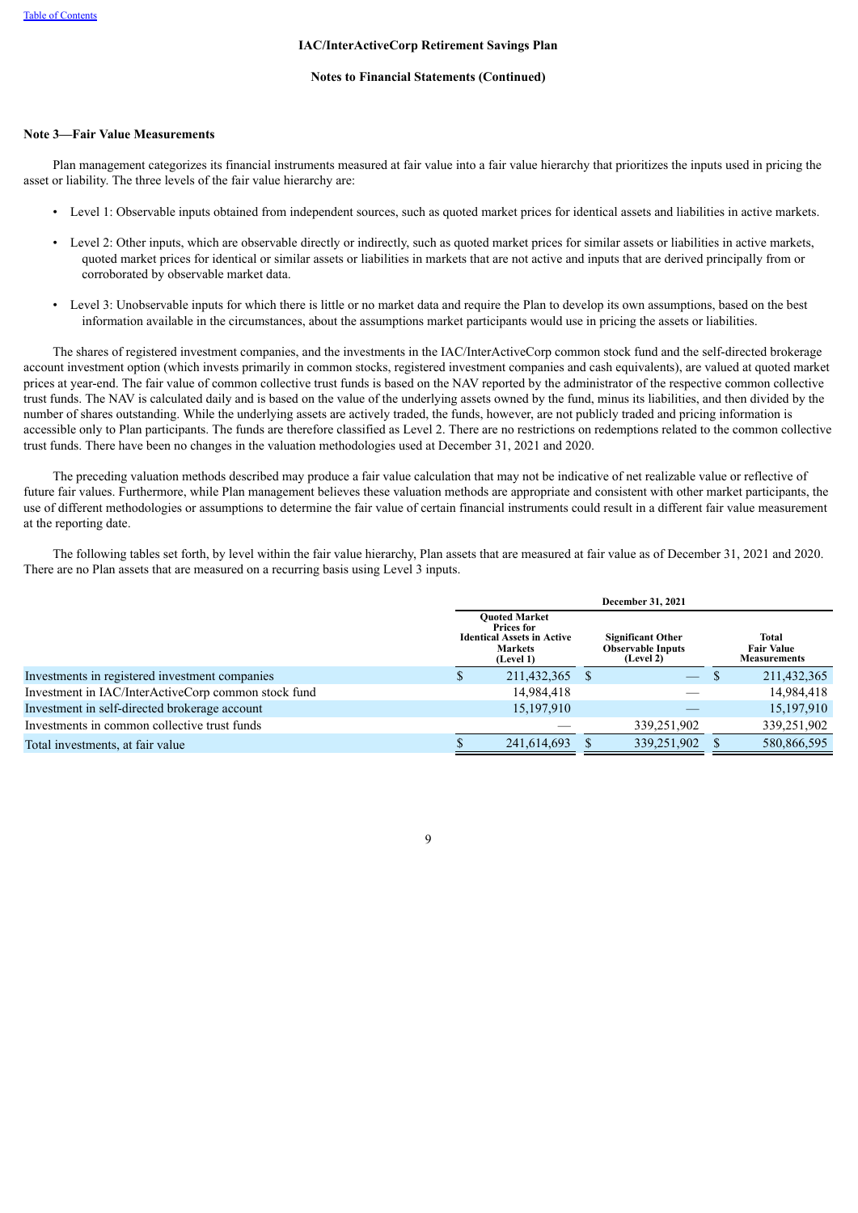#### **Notes to Financial Statements (Continued)**

### **Note 3—Fair Value Measurements**

Plan management categorizes its financial instruments measured at fair value into a fair value hierarchy that prioritizes the inputs used in pricing the asset or liability. The three levels of the fair value hierarchy are:

- Level 1: Observable inputs obtained from independent sources, such as quoted market prices for identical assets and liabilities in active markets.
- Level 2: Other inputs, which are observable directly or indirectly, such as quoted market prices for similar assets or liabilities in active markets, quoted market prices for identical or similar assets or liabilities in markets that are not active and inputs that are derived principally from or corroborated by observable market data.
- Level 3: Unobservable inputs for which there is little or no market data and require the Plan to develop its own assumptions, based on the best information available in the circumstances, about the assumptions market participants would use in pricing the assets or liabilities.

The shares of registered investment companies, and the investments in the IAC/InterActiveCorp common stock fund and the self-directed brokerage account investment option (which invests primarily in common stocks, registered investment companies and cash equivalents), are valued at quoted market prices at year-end. The fair value of common collective trust funds is based on the NAV reported by the administrator of the respective common collective trust funds. The NAV is calculated daily and is based on the value of the underlying assets owned by the fund, minus its liabilities, and then divided by the number of shares outstanding. While the underlying assets are actively traded, the funds, however, are not publicly traded and pricing information is accessible only to Plan participants. The funds are therefore classified as Level 2. There are no restrictions on redemptions related to the common collective trust funds. There have been no changes in the valuation methodologies used at December 31, 2021 and 2020.

The preceding valuation methods described may produce a fair value calculation that may not be indicative of net realizable value or reflective of future fair values. Furthermore, while Plan management believes these valuation methods are appropriate and consistent with other market participants, the use of different methodologies or assumptions to determine the fair value of certain financial instruments could result in a different fair value measurement at the reporting date.

The following tables set forth, by level within the fair value hierarchy, Plan assets that are measured at fair value as of December 31, 2021 and 2020. There are no Plan assets that are measured on a recurring basis using Level 3 inputs.

|                                                     | December 31, 2021 |                                                                                                               |                                                                   |             |                                                   |             |
|-----------------------------------------------------|-------------------|---------------------------------------------------------------------------------------------------------------|-------------------------------------------------------------------|-------------|---------------------------------------------------|-------------|
|                                                     |                   | <b>Ouoted Market</b><br><b>Prices for</b><br><b>Identical Assets in Active</b><br><b>Markets</b><br>(Level 1) | <b>Significant Other</b><br><b>Observable Inputs</b><br>(Level 2) |             | Total<br><b>Fair Value</b><br><b>Measurements</b> |             |
| Investments in registered investment companies      | S                 | 211,432,365                                                                                                   |                                                                   |             | ۰D                                                | 211,432,365 |
| Investment in IAC/InterActiveCorp common stock fund |                   | 14,984,418                                                                                                    |                                                                   |             |                                                   | 14,984,418  |
| Investment in self-directed brokerage account       |                   | 15,197,910                                                                                                    |                                                                   |             |                                                   | 15,197,910  |
| Investments in common collective trust funds        |                   |                                                                                                               |                                                                   | 339,251,902 |                                                   | 339,251,902 |
| Total investments, at fair value                    |                   | 241.614.693                                                                                                   |                                                                   | 339,251,902 |                                                   | 580.866.595 |

 $\overline{Q}$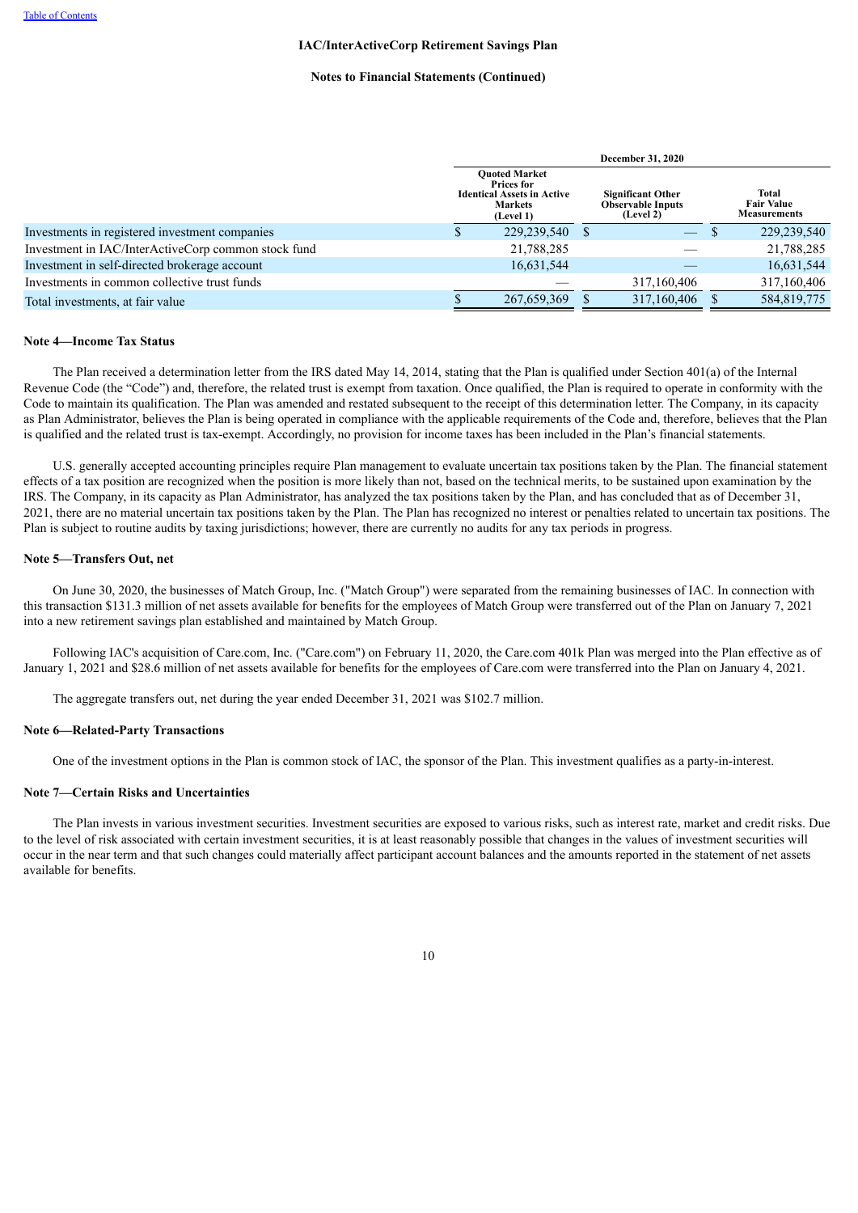#### **Notes to Financial Statements (Continued)**

|                                                     | <b>December 31, 2020</b>                                                                               |             |  |                                                                   |                                                   |
|-----------------------------------------------------|--------------------------------------------------------------------------------------------------------|-------------|--|-------------------------------------------------------------------|---------------------------------------------------|
|                                                     | <b>Ouoted Market</b><br>Prices for<br><b>Identical Assets in Active</b><br><b>Markets</b><br>(Level 1) |             |  | <b>Significant Other</b><br><b>Observable Inputs</b><br>(Level 2) | Total<br><b>Fair Value</b><br><b>Measurements</b> |
| Investments in registered investment companies      |                                                                                                        | 229,239,540 |  | $\overline{\phantom{0}}$                                          | 229,239,540                                       |
| Investment in IAC/InterActiveCorp common stock fund |                                                                                                        | 21,788,285  |  |                                                                   | 21,788,285                                        |
| Investment in self-directed brokerage account       |                                                                                                        | 16,631,544  |  |                                                                   | 16,631,544                                        |
| Investments in common collective trust funds        |                                                                                                        |             |  | 317,160,406                                                       | 317,160,406                                       |
| Total investments, at fair value                    |                                                                                                        | 267,659,369 |  | 317,160,406                                                       | 584,819,775                                       |

# <span id="page-9-0"></span>**Note 4—Income Tax Status**

The Plan received a determination letter from the IRS dated May 14, 2014, stating that the Plan is qualified under Section 401(a) of the Internal Revenue Code (the "Code") and, therefore, the related trust is exempt from taxation. Once qualified, the Plan is required to operate in conformity with the Code to maintain its qualification. The Plan was amended and restated subsequent to the receipt of this determination letter. The Company, in its capacity as Plan Administrator, believes the Plan is being operated in compliance with the applicable requirements of the Code and, therefore, believes that the Plan is qualified and the related trust is tax-exempt. Accordingly, no provision for income taxes has been included in the Plan's financial statements.

U.S. generally accepted accounting principles require Plan management to evaluate uncertain tax positions taken by the Plan. The financial statement effects of a tax position are recognized when the position is more likely than not, based on the technical merits, to be sustained upon examination by the IRS. The Company, in its capacity as Plan Administrator, has analyzed the tax positions taken by the Plan, and has concluded that as of December 31, 2021, there are no material uncertain tax positions taken by the Plan. The Plan has recognized no interest or penalties related to uncertain tax positions. The Plan is subject to routine audits by taxing jurisdictions; however, there are currently no audits for any tax periods in progress.

# <span id="page-9-1"></span>**Note 5—Transfers Out, net**

On June 30, 2020, the businesses of Match Group, Inc. ("Match Group") were separated from the remaining businesses of IAC. In connection with this transaction \$131.3 million of net assets available for benefits for the employees of Match Group were transferred out of the Plan on January 7, 2021 into a new retirement savings plan established and maintained by Match Group.

Following IAC's acquisition of Care.com, Inc. ("Care.com") on February 11, 2020, the Care.com 401k Plan was merged into the Plan effective as of January 1, 2021 and \$28.6 million of net assets available for benefits for the employees of Care.com were transferred into the Plan on January 4, 2021.

The aggregate transfers out, net during the year ended December 31, 2021 was \$102.7 million.

#### <span id="page-9-2"></span>**Note 6—Related-Party Transactions**

One of the investment options in the Plan is common stock of IAC, the sponsor of the Plan. This investment qualifies as a party-in-interest.

#### <span id="page-9-3"></span>**Note 7—Certain Risks and Uncertainties**

<span id="page-9-4"></span>The Plan invests in various investment securities. Investment securities are exposed to various risks, such as interest rate, market and credit risks. Due to the level of risk associated with certain investment securities, it is at least reasonably possible that changes in the values of investment securities will occur in the near term and that such changes could materially affect participant account balances and the amounts reported in the statement of net assets available for benefits.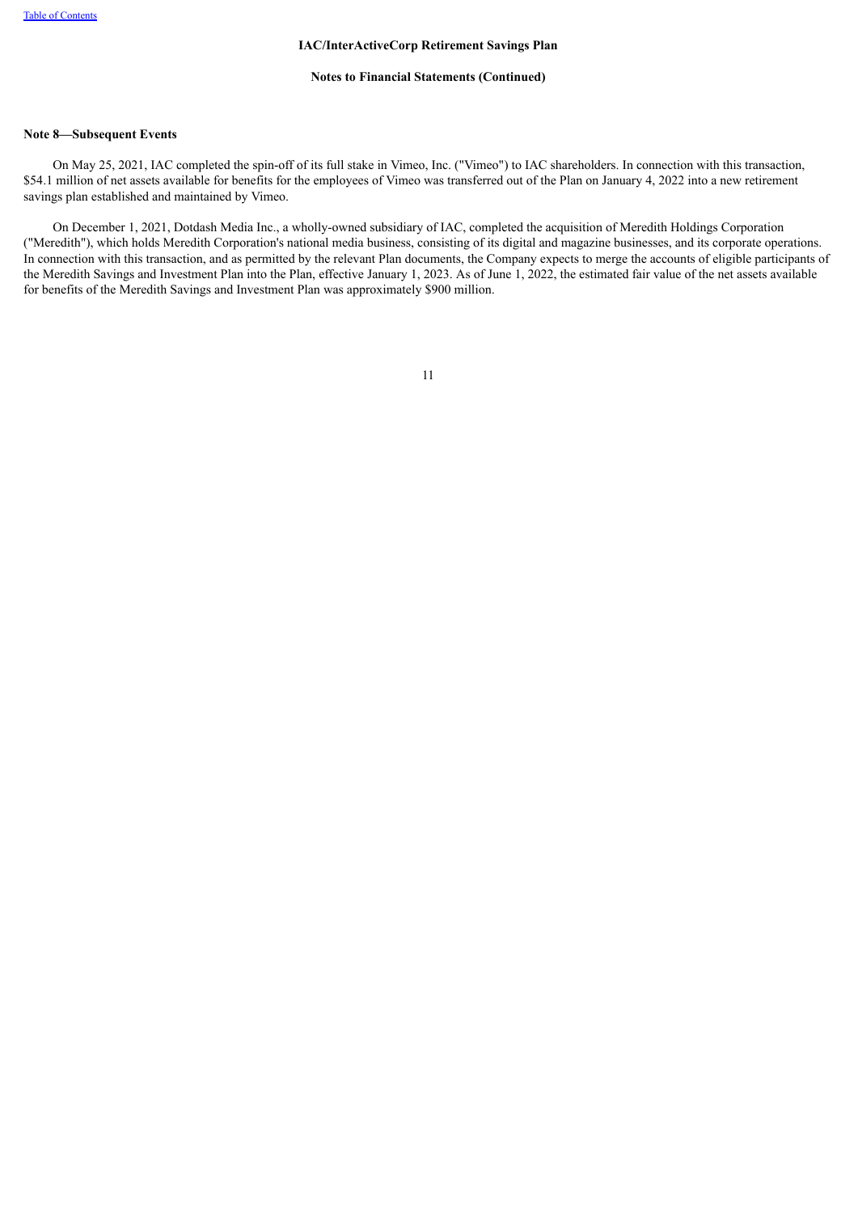#### **Notes to Financial Statements (Continued)**

# **Note 8—Subsequent Events**

On May 25, 2021, IAC completed the spin-off of its full stake in Vimeo, Inc. ("Vimeo") to IAC shareholders. In connection with this transaction, \$54.1 million of net assets available for benefits for the employees of Vimeo was transferred out of the Plan on January 4, 2022 into a new retirement savings plan established and maintained by Vimeo.

<span id="page-10-0"></span>On December 1, 2021, Dotdash Media Inc., a wholly-owned subsidiary of IAC, completed the acquisition of Meredith Holdings Corporation ("Meredith"), which holds Meredith Corporation's national media business, consisting of its digital and magazine businesses, and its corporate operations. In connection with this transaction, and as permitted by the relevant Plan documents, the Company expects to merge the accounts of eligible participants of the Meredith Savings and Investment Plan into the Plan, effective January 1, 2023. As of June 1, 2022, the estimated fair value of the net assets available for benefits of the Meredith Savings and Investment Plan was approximately \$900 million.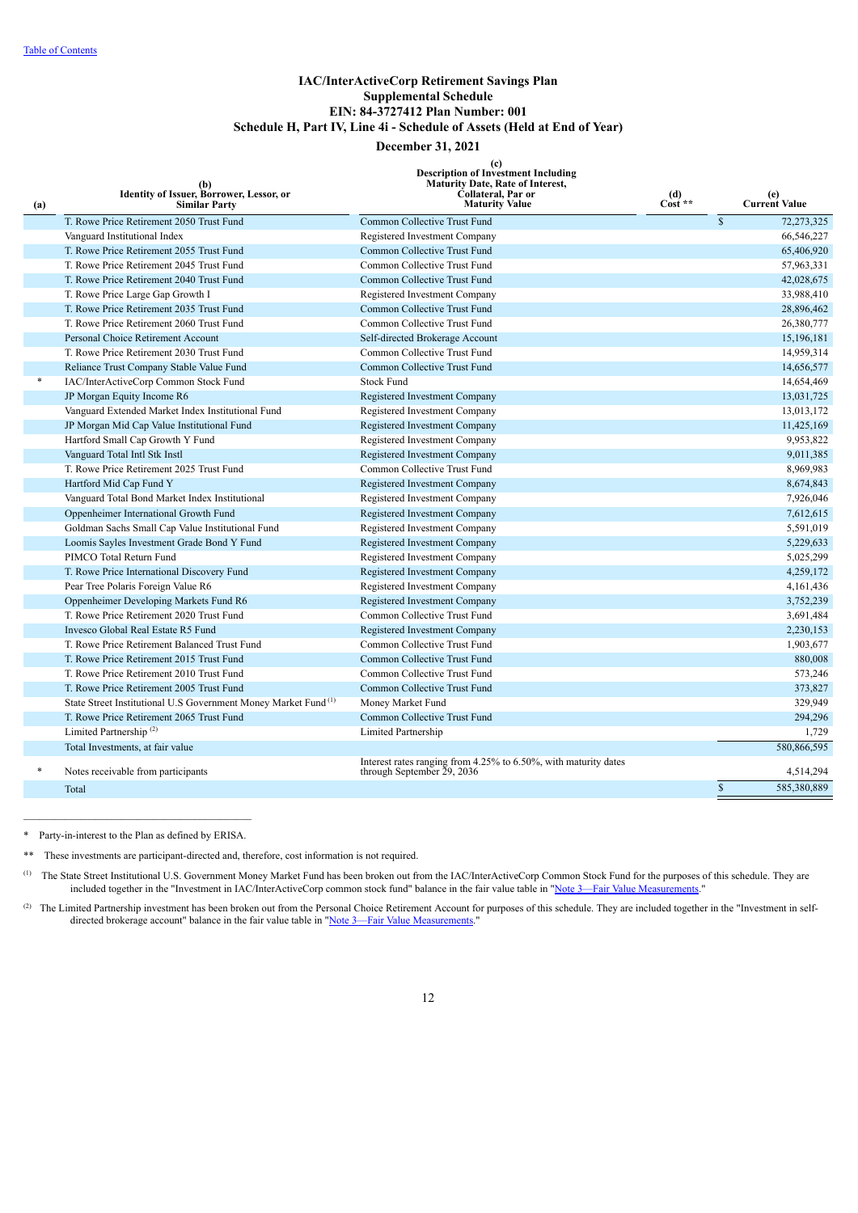# **IAC/InterActiveCorp Retirement Savings Plan Supplemental Schedule EIN: 84-3727412 Plan Number: 001 Schedule H, Part IV, Line 4i - Schedule of Assets (Held at End of Year)**

# **December 31, 2021**

|  |  | $\left( \mathbf{c} \right)$        |  |
|--|--|------------------------------------|--|
|  |  | Description of Investment Includiv |  |

**Description of Investment Including Maturity Date, Rate of Interest,**

<span id="page-11-0"></span>

| (a) | (b)<br>Identity of Issuer, Borrower, Lessor, or<br><b>Similar Party</b>    | Description or Investment Including<br><b>Maturity Date, Rate of Interest,</b><br>Collateral, Par or<br><b>Maturity Value</b> | $\frac{d}{\text{Cost}}$ ** |             | (e)<br><b>Current Value</b> |
|-----|----------------------------------------------------------------------------|-------------------------------------------------------------------------------------------------------------------------------|----------------------------|-------------|-----------------------------|
|     | T. Rowe Price Retirement 2050 Trust Fund                                   | Common Collective Trust Fund                                                                                                  |                            | $\mathbf S$ | 72,273,325                  |
|     | Vanguard Institutional Index                                               | Registered Investment Company                                                                                                 |                            |             | 66,546,227                  |
|     | T. Rowe Price Retirement 2055 Trust Fund                                   | Common Collective Trust Fund                                                                                                  |                            |             | 65,406,920                  |
|     | T. Rowe Price Retirement 2045 Trust Fund                                   | Common Collective Trust Fund                                                                                                  |                            |             | 57,963,331                  |
|     | T. Rowe Price Retirement 2040 Trust Fund                                   | Common Collective Trust Fund                                                                                                  |                            |             | 42,028,675                  |
|     | T. Rowe Price Large Gap Growth I                                           | Registered Investment Company                                                                                                 |                            |             | 33,988,410                  |
|     | T. Rowe Price Retirement 2035 Trust Fund                                   | Common Collective Trust Fund                                                                                                  |                            |             | 28,896,462                  |
|     | T. Rowe Price Retirement 2060 Trust Fund                                   | Common Collective Trust Fund                                                                                                  |                            |             | 26,380,777                  |
|     | Personal Choice Retirement Account                                         | Self-directed Brokerage Account                                                                                               |                            |             | 15,196,181                  |
|     | T. Rowe Price Retirement 2030 Trust Fund                                   | Common Collective Trust Fund                                                                                                  |                            |             | 14,959,314                  |
|     | Reliance Trust Company Stable Value Fund                                   | Common Collective Trust Fund                                                                                                  |                            |             | 14,656,577                  |
| *   | IAC/InterActiveCorp Common Stock Fund                                      | <b>Stock Fund</b>                                                                                                             |                            |             | 14,654,469                  |
|     | JP Morgan Equity Income R6                                                 | Registered Investment Company                                                                                                 |                            |             | 13,031,725                  |
|     | Vanguard Extended Market Index Institutional Fund                          | Registered Investment Company                                                                                                 |                            |             | 13,013,172                  |
|     | JP Morgan Mid Cap Value Institutional Fund                                 | Registered Investment Company                                                                                                 |                            |             | 11,425,169                  |
|     | Hartford Small Cap Growth Y Fund                                           | Registered Investment Company                                                                                                 |                            |             | 9,953,822                   |
|     | Vanguard Total Intl Stk Instl                                              | Registered Investment Company                                                                                                 |                            |             | 9,011,385                   |
|     | T. Rowe Price Retirement 2025 Trust Fund                                   | Common Collective Trust Fund                                                                                                  |                            |             | 8,969,983                   |
|     | Hartford Mid Cap Fund Y                                                    | Registered Investment Company                                                                                                 |                            |             | 8,674,843                   |
|     | Vanguard Total Bond Market Index Institutional                             | Registered Investment Company                                                                                                 |                            |             | 7,926,046                   |
|     | Oppenheimer International Growth Fund                                      | Registered Investment Company                                                                                                 |                            |             | 7,612,615                   |
|     | Goldman Sachs Small Cap Value Institutional Fund                           | Registered Investment Company                                                                                                 |                            |             | 5,591,019                   |
|     | Loomis Sayles Investment Grade Bond Y Fund                                 | Registered Investment Company                                                                                                 |                            |             | 5,229,633                   |
|     | PIMCO Total Return Fund                                                    | Registered Investment Company                                                                                                 |                            |             | 5,025,299                   |
|     | T. Rowe Price International Discovery Fund                                 | Registered Investment Company                                                                                                 |                            |             | 4,259,172                   |
|     | Pear Tree Polaris Foreign Value R6                                         | Registered Investment Company                                                                                                 |                            |             | 4,161,436                   |
|     | Oppenheimer Developing Markets Fund R6                                     | Registered Investment Company                                                                                                 |                            |             | 3,752,239                   |
|     | T. Rowe Price Retirement 2020 Trust Fund                                   | Common Collective Trust Fund                                                                                                  |                            |             | 3,691,484                   |
|     | Invesco Global Real Estate R5 Fund                                         | Registered Investment Company                                                                                                 |                            |             | 2,230,153                   |
|     | T. Rowe Price Retirement Balanced Trust Fund                               | Common Collective Trust Fund                                                                                                  |                            |             | 1,903,677                   |
|     | T. Rowe Price Retirement 2015 Trust Fund                                   | Common Collective Trust Fund                                                                                                  |                            |             | 880,008                     |
|     | T. Rowe Price Retirement 2010 Trust Fund                                   | Common Collective Trust Fund                                                                                                  |                            |             | 573,246                     |
|     | T. Rowe Price Retirement 2005 Trust Fund                                   | Common Collective Trust Fund                                                                                                  |                            |             | 373,827                     |
|     | State Street Institutional U.S Government Money Market Fund <sup>(1)</sup> | Money Market Fund                                                                                                             |                            |             | 329,949                     |
|     | T. Rowe Price Retirement 2065 Trust Fund                                   | Common Collective Trust Fund                                                                                                  |                            |             | 294,296                     |
|     | Limited Partnership <sup><math>(2)</math></sup>                            | Limited Partnership                                                                                                           |                            |             | 1,729                       |
|     | Total Investments, at fair value                                           |                                                                                                                               |                            |             | 580,866,595                 |
| *   | Notes receivable from participants                                         | Interest rates ranging from 4.25% to 6.50%, with maturity dates<br>through September 29, 2036                                 |                            |             | 4,514,294                   |
|     | Total                                                                      |                                                                                                                               |                            | \$          | 585,380,889                 |
|     |                                                                            |                                                                                                                               |                            |             |                             |

\* Party-in-interest to the Plan as defined by ERISA.

\*\* These investments are participant-directed and, therefore, cost information is not required.

<sup>(1)</sup> The State Street Institutional U.S. Government Money Market Fund has been broken out from the IAC/InterActiveCorp Common Stock Fund for the purposes of this schedule. They are included together in the "Investment in IAC/InterActiveCorp common stock fund" balance in the fair value table in "Note 3—Fair Value [Measurements](#page-7-1)."

The Limited Partnership investment has been broken out from the Personal Choice Retirement Account for purposes of this schedule. They are included together in the "Investment in self-(2) directed brokerage account" balance in the fair value table in "Note 3—Fair Value [Measurements](#page-7-1)."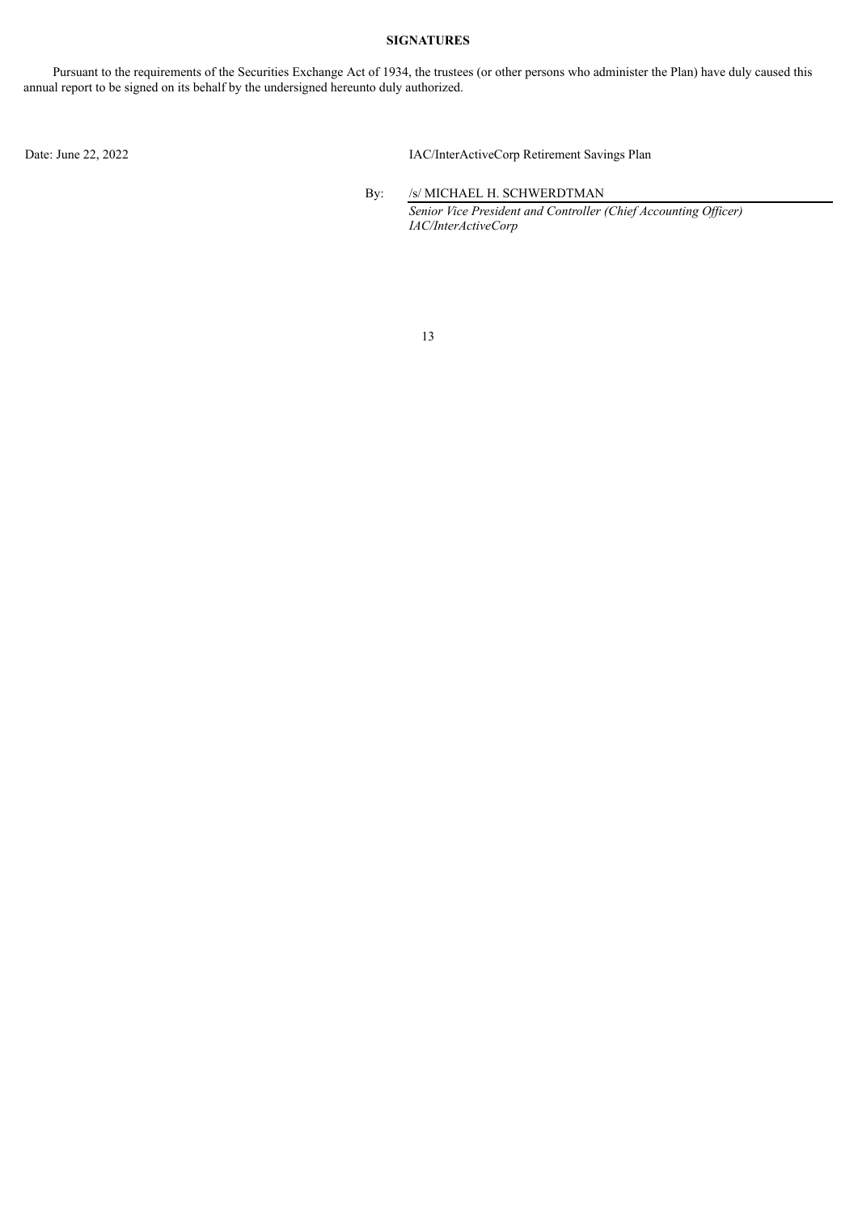# **SIGNATURES**

Pursuant to the requirements of the Securities Exchange Act of 1934, the trustees (or other persons who administer the Plan) have duly caused this annual report to be signed on its behalf by the undersigned hereunto duly authorized.

Date: June 22, 2022 IAC/InterActiveCorp Retirement Savings Plan

By: /s/ MICHAEL H. SCHWERDTMAN *Senior Vice President and Controller (Chief Accounting Of icer) IAC/InterActiveCorp*